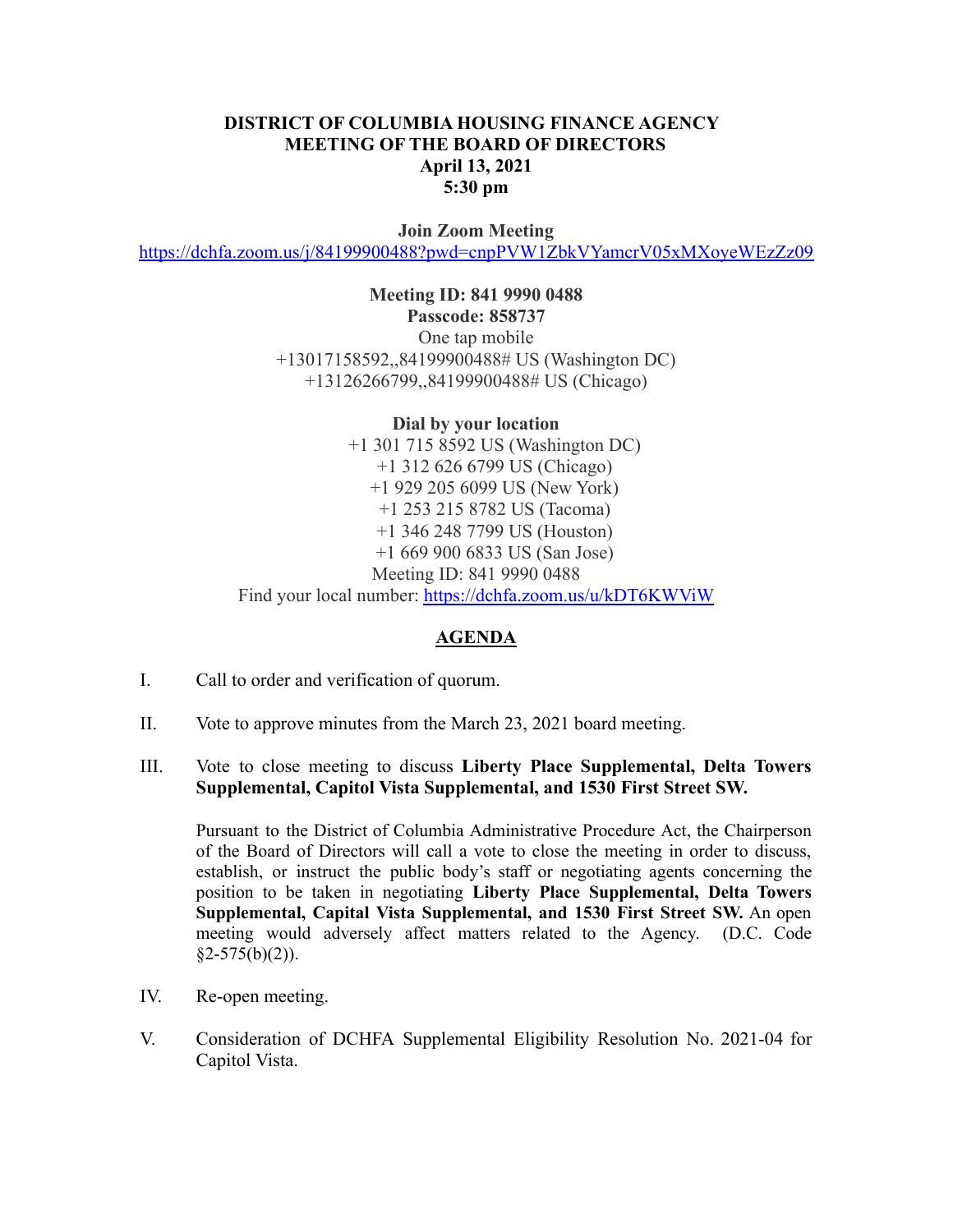## **DISTRICT OF COLUMBIA HOUSING FINANCE AGENCY MEETING OF THE BOARD OF DIRECTORS April 13, 2021 5:30 pm**

**Join Zoom Meeting** <https://dchfa.zoom.us/j/84199900488?pwd=cnpPVW1ZbkVYamcrV05xMXoyeWEzZz09>

> **Meeting ID: 841 9990 0488 Passcode: 858737** One tap mobile +13017158592,,84199900488# US (Washington DC) +13126266799,,84199900488# US (Chicago)

**Dial by your location** +1 301 715 8592 US (Washington DC) +1 312 626 6799 US (Chicago) +1 929 205 6099 US (New York) +1 253 215 8782 US (Tacoma) +1 346 248 7799 US (Houston) +1 669 900 6833 US (San Jose) Meeting ID: 841 9990 0488 Find your local number: <https://dchfa.zoom.us/u/kDT6KWViW>

## **AGENDA**

- I. Call to order and verification of quorum.
- II. Vote to approve minutes from the March 23, 2021 board meeting.

## III. Vote to close meeting to discuss **Liberty Place Supplemental, Delta Towers Supplemental, Capitol Vista Supplemental, and 1530 First Street SW.**

Pursuant to the District of Columbia Administrative Procedure Act, the Chairperson of the Board of Directors will call a vote to close the meeting in order to discuss, establish, or instruct the public body's staff or negotiating agents concerning the position to be taken in negotiating **Liberty Place Supplemental, Delta Towers Supplemental, Capital Vista Supplemental, and 1530 First Street SW.** An open meeting would adversely affect matters related to the Agency. (D.C. Code  $§2-575(b)(2)$ ).

- IV. Re-open meeting.
- V. Consideration of DCHFA Supplemental Eligibility Resolution No. 2021-04 for Capitol Vista.